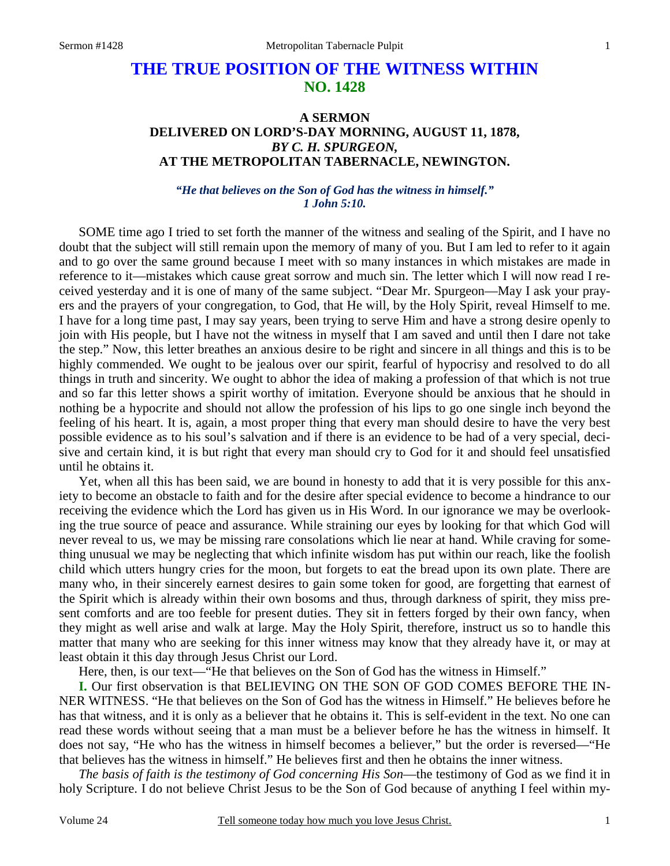## **THE TRUE POSITION OF THE WITNESS WITHIN NO. 1428**

## **A SERMON DELIVERED ON LORD'S-DAY MORNING, AUGUST 11, 1878,**  *BY C. H. SPURGEON,*  **AT THE METROPOLITAN TABERNACLE, NEWINGTON.**

*"He that believes on the Son of God has the witness in himself." 1 John 5:10.* 

SOME time ago I tried to set forth the manner of the witness and sealing of the Spirit, and I have no doubt that the subject will still remain upon the memory of many of you. But I am led to refer to it again and to go over the same ground because I meet with so many instances in which mistakes are made in reference to it—mistakes which cause great sorrow and much sin. The letter which I will now read I received yesterday and it is one of many of the same subject. "Dear Mr. Spurgeon—May I ask your prayers and the prayers of your congregation, to God, that He will, by the Holy Spirit, reveal Himself to me. I have for a long time past, I may say years, been trying to serve Him and have a strong desire openly to join with His people, but I have not the witness in myself that I am saved and until then I dare not take the step." Now, this letter breathes an anxious desire to be right and sincere in all things and this is to be highly commended. We ought to be jealous over our spirit, fearful of hypocrisy and resolved to do all things in truth and sincerity. We ought to abhor the idea of making a profession of that which is not true and so far this letter shows a spirit worthy of imitation. Everyone should be anxious that he should in nothing be a hypocrite and should not allow the profession of his lips to go one single inch beyond the feeling of his heart. It is, again, a most proper thing that every man should desire to have the very best possible evidence as to his soul's salvation and if there is an evidence to be had of a very special, decisive and certain kind, it is but right that every man should cry to God for it and should feel unsatisfied until he obtains it.

Yet, when all this has been said, we are bound in honesty to add that it is very possible for this anxiety to become an obstacle to faith and for the desire after special evidence to become a hindrance to our receiving the evidence which the Lord has given us in His Word. In our ignorance we may be overlooking the true source of peace and assurance. While straining our eyes by looking for that which God will never reveal to us, we may be missing rare consolations which lie near at hand. While craving for something unusual we may be neglecting that which infinite wisdom has put within our reach, like the foolish child which utters hungry cries for the moon, but forgets to eat the bread upon its own plate. There are many who, in their sincerely earnest desires to gain some token for good, are forgetting that earnest of the Spirit which is already within their own bosoms and thus, through darkness of spirit, they miss present comforts and are too feeble for present duties. They sit in fetters forged by their own fancy, when they might as well arise and walk at large. May the Holy Spirit, therefore, instruct us so to handle this matter that many who are seeking for this inner witness may know that they already have it, or may at least obtain it this day through Jesus Christ our Lord.

Here, then, is our text—"He that believes on the Son of God has the witness in Himself."

**I.** Our first observation is that BELIEVING ON THE SON OF GOD COMES BEFORE THE IN-NER WITNESS. "He that believes on the Son of God has the witness in Himself." He believes before he has that witness, and it is only as a believer that he obtains it. This is self-evident in the text. No one can read these words without seeing that a man must be a believer before he has the witness in himself. It does not say, "He who has the witness in himself becomes a believer," but the order is reversed—"He that believes has the witness in himself." He believes first and then he obtains the inner witness.

*The basis of faith is the testimony of God concerning His Son*—the testimony of God as we find it in holy Scripture. I do not believe Christ Jesus to be the Son of God because of anything I feel within my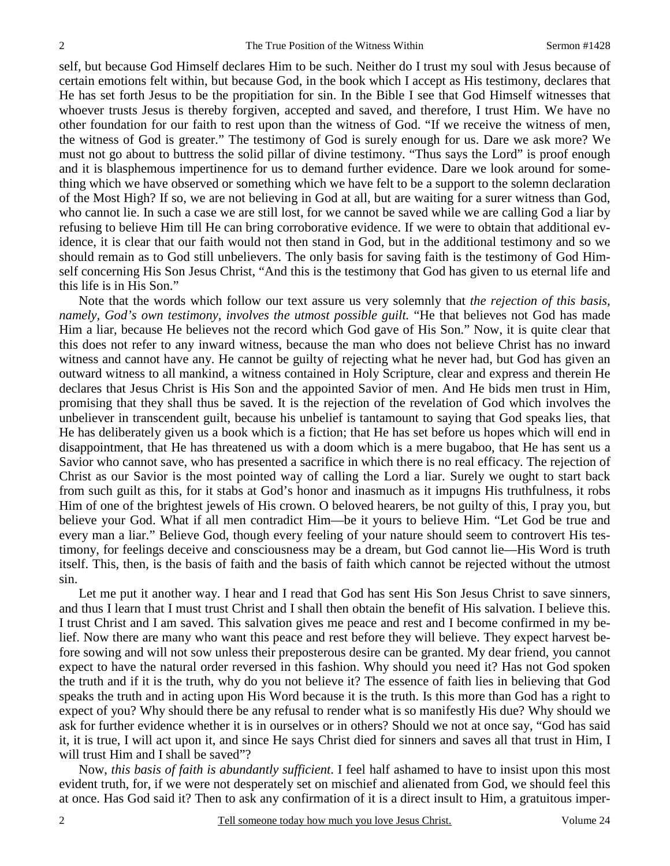self, but because God Himself declares Him to be such. Neither do I trust my soul with Jesus because of certain emotions felt within, but because God, in the book which I accept as His testimony, declares that He has set forth Jesus to be the propitiation for sin. In the Bible I see that God Himself witnesses that whoever trusts Jesus is thereby forgiven, accepted and saved, and therefore, I trust Him. We have no other foundation for our faith to rest upon than the witness of God. "If we receive the witness of men, the witness of God is greater." The testimony of God is surely enough for us. Dare we ask more? We must not go about to buttress the solid pillar of divine testimony. "Thus says the Lord" is proof enough and it is blasphemous impertinence for us to demand further evidence. Dare we look around for something which we have observed or something which we have felt to be a support to the solemn declaration of the Most High? If so, we are not believing in God at all, but are waiting for a surer witness than God, who cannot lie. In such a case we are still lost, for we cannot be saved while we are calling God a liar by refusing to believe Him till He can bring corroborative evidence. If we were to obtain that additional evidence, it is clear that our faith would not then stand in God, but in the additional testimony and so we should remain as to God still unbelievers. The only basis for saving faith is the testimony of God Himself concerning His Son Jesus Christ, "And this is the testimony that God has given to us eternal life and this life is in His Son."

Note that the words which follow our text assure us very solemnly that *the rejection of this basis, namely, God's own testimony, involves the utmost possible guilt.* "He that believes not God has made Him a liar, because He believes not the record which God gave of His Son." Now, it is quite clear that this does not refer to any inward witness, because the man who does not believe Christ has no inward witness and cannot have any. He cannot be guilty of rejecting what he never had, but God has given an outward witness to all mankind, a witness contained in Holy Scripture, clear and express and therein He declares that Jesus Christ is His Son and the appointed Savior of men. And He bids men trust in Him, promising that they shall thus be saved. It is the rejection of the revelation of God which involves the unbeliever in transcendent guilt, because his unbelief is tantamount to saying that God speaks lies, that He has deliberately given us a book which is a fiction; that He has set before us hopes which will end in disappointment, that He has threatened us with a doom which is a mere bugaboo, that He has sent us a Savior who cannot save, who has presented a sacrifice in which there is no real efficacy. The rejection of Christ as our Savior is the most pointed way of calling the Lord a liar. Surely we ought to start back from such guilt as this, for it stabs at God's honor and inasmuch as it impugns His truthfulness, it robs Him of one of the brightest jewels of His crown. O beloved hearers, be not guilty of this, I pray you, but believe your God. What if all men contradict Him—be it yours to believe Him. "Let God be true and every man a liar." Believe God, though every feeling of your nature should seem to controvert His testimony, for feelings deceive and consciousness may be a dream, but God cannot lie—His Word is truth itself. This, then, is the basis of faith and the basis of faith which cannot be rejected without the utmost sin.

Let me put it another way. I hear and I read that God has sent His Son Jesus Christ to save sinners, and thus I learn that I must trust Christ and I shall then obtain the benefit of His salvation. I believe this. I trust Christ and I am saved. This salvation gives me peace and rest and I become confirmed in my belief. Now there are many who want this peace and rest before they will believe. They expect harvest before sowing and will not sow unless their preposterous desire can be granted. My dear friend, you cannot expect to have the natural order reversed in this fashion. Why should you need it? Has not God spoken the truth and if it is the truth, why do you not believe it? The essence of faith lies in believing that God speaks the truth and in acting upon His Word because it is the truth. Is this more than God has a right to expect of you? Why should there be any refusal to render what is so manifestly His due? Why should we ask for further evidence whether it is in ourselves or in others? Should we not at once say, "God has said it, it is true, I will act upon it, and since He says Christ died for sinners and saves all that trust in Him, I will trust Him and I shall be saved"?

Now, *this basis of faith is abundantly sufficient*. I feel half ashamed to have to insist upon this most evident truth, for, if we were not desperately set on mischief and alienated from God, we should feel this at once. Has God said it? Then to ask any confirmation of it is a direct insult to Him, a gratuitous imper-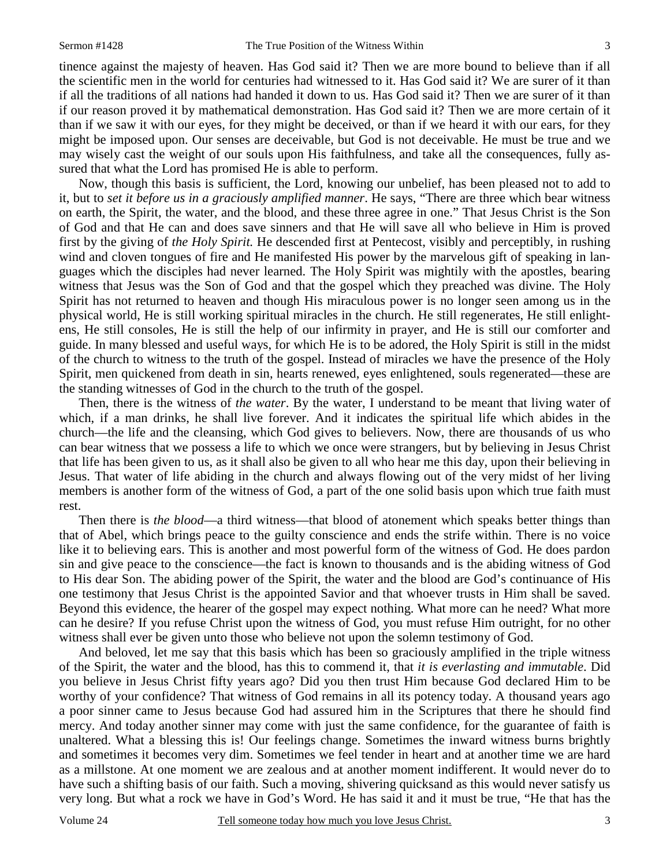3

tinence against the majesty of heaven. Has God said it? Then we are more bound to believe than if all the scientific men in the world for centuries had witnessed to it. Has God said it? We are surer of it than if all the traditions of all nations had handed it down to us. Has God said it? Then we are surer of it than if our reason proved it by mathematical demonstration. Has God said it? Then we are more certain of it than if we saw it with our eyes, for they might be deceived, or than if we heard it with our ears, for they might be imposed upon. Our senses are deceivable, but God is not deceivable. He must be true and we may wisely cast the weight of our souls upon His faithfulness, and take all the consequences, fully assured that what the Lord has promised He is able to perform.

Now, though this basis is sufficient, the Lord, knowing our unbelief, has been pleased not to add to it, but to *set it before us in a graciously amplified manner*. He says, "There are three which bear witness on earth, the Spirit, the water, and the blood, and these three agree in one." That Jesus Christ is the Son of God and that He can and does save sinners and that He will save all who believe in Him is proved first by the giving of *the Holy Spirit.* He descended first at Pentecost, visibly and perceptibly, in rushing wind and cloven tongues of fire and He manifested His power by the marvelous gift of speaking in languages which the disciples had never learned. The Holy Spirit was mightily with the apostles, bearing witness that Jesus was the Son of God and that the gospel which they preached was divine. The Holy Spirit has not returned to heaven and though His miraculous power is no longer seen among us in the physical world, He is still working spiritual miracles in the church. He still regenerates, He still enlightens, He still consoles, He is still the help of our infirmity in prayer, and He is still our comforter and guide. In many blessed and useful ways, for which He is to be adored, the Holy Spirit is still in the midst of the church to witness to the truth of the gospel. Instead of miracles we have the presence of the Holy Spirit, men quickened from death in sin, hearts renewed, eyes enlightened, souls regenerated—these are the standing witnesses of God in the church to the truth of the gospel.

Then, there is the witness of *the water*. By the water, I understand to be meant that living water of which, if a man drinks, he shall live forever. And it indicates the spiritual life which abides in the church—the life and the cleansing, which God gives to believers. Now, there are thousands of us who can bear witness that we possess a life to which we once were strangers, but by believing in Jesus Christ that life has been given to us, as it shall also be given to all who hear me this day, upon their believing in Jesus. That water of life abiding in the church and always flowing out of the very midst of her living members is another form of the witness of God, a part of the one solid basis upon which true faith must rest.

Then there is *the blood*—a third witness—that blood of atonement which speaks better things than that of Abel, which brings peace to the guilty conscience and ends the strife within. There is no voice like it to believing ears. This is another and most powerful form of the witness of God. He does pardon sin and give peace to the conscience—the fact is known to thousands and is the abiding witness of God to His dear Son. The abiding power of the Spirit, the water and the blood are God's continuance of His one testimony that Jesus Christ is the appointed Savior and that whoever trusts in Him shall be saved. Beyond this evidence, the hearer of the gospel may expect nothing. What more can he need? What more can he desire? If you refuse Christ upon the witness of God, you must refuse Him outright, for no other witness shall ever be given unto those who believe not upon the solemn testimony of God.

And beloved, let me say that this basis which has been so graciously amplified in the triple witness of the Spirit, the water and the blood, has this to commend it, that *it is everlasting and immutable*. Did you believe in Jesus Christ fifty years ago? Did you then trust Him because God declared Him to be worthy of your confidence? That witness of God remains in all its potency today. A thousand years ago a poor sinner came to Jesus because God had assured him in the Scriptures that there he should find mercy. And today another sinner may come with just the same confidence, for the guarantee of faith is unaltered. What a blessing this is! Our feelings change. Sometimes the inward witness burns brightly and sometimes it becomes very dim. Sometimes we feel tender in heart and at another time we are hard as a millstone. At one moment we are zealous and at another moment indifferent. It would never do to have such a shifting basis of our faith. Such a moving, shivering quicksand as this would never satisfy us very long. But what a rock we have in God's Word. He has said it and it must be true, "He that has the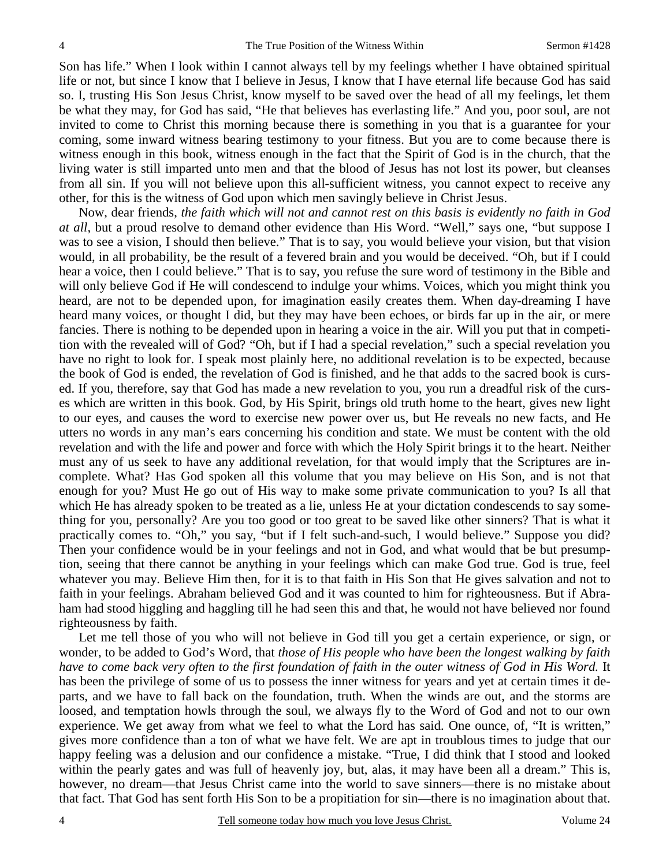Son has life." When I look within I cannot always tell by my feelings whether I have obtained spiritual life or not, but since I know that I believe in Jesus, I know that I have eternal life because God has said so. I, trusting His Son Jesus Christ, know myself to be saved over the head of all my feelings, let them be what they may, for God has said, "He that believes has everlasting life." And you, poor soul, are not invited to come to Christ this morning because there is something in you that is a guarantee for your coming, some inward witness bearing testimony to your fitness. But you are to come because there is witness enough in this book, witness enough in the fact that the Spirit of God is in the church, that the living water is still imparted unto men and that the blood of Jesus has not lost its power, but cleanses from all sin. If you will not believe upon this all-sufficient witness, you cannot expect to receive any other, for this is the witness of God upon which men savingly believe in Christ Jesus.

Now, dear friends, *the faith which will not and cannot rest on this basis is evidently no faith in God at all,* but a proud resolve to demand other evidence than His Word. "Well," says one, "but suppose I was to see a vision, I should then believe." That is to say, you would believe your vision, but that vision would, in all probability, be the result of a fevered brain and you would be deceived. "Oh, but if I could hear a voice, then I could believe." That is to say, you refuse the sure word of testimony in the Bible and will only believe God if He will condescend to indulge your whims. Voices, which you might think you heard, are not to be depended upon, for imagination easily creates them. When day-dreaming I have heard many voices, or thought I did, but they may have been echoes, or birds far up in the air, or mere fancies. There is nothing to be depended upon in hearing a voice in the air. Will you put that in competition with the revealed will of God? "Oh, but if I had a special revelation," such a special revelation you have no right to look for. I speak most plainly here, no additional revelation is to be expected, because the book of God is ended, the revelation of God is finished, and he that adds to the sacred book is cursed. If you, therefore, say that God has made a new revelation to you, you run a dreadful risk of the curses which are written in this book. God, by His Spirit, brings old truth home to the heart, gives new light to our eyes, and causes the word to exercise new power over us, but He reveals no new facts, and He utters no words in any man's ears concerning his condition and state. We must be content with the old revelation and with the life and power and force with which the Holy Spirit brings it to the heart. Neither must any of us seek to have any additional revelation, for that would imply that the Scriptures are incomplete. What? Has God spoken all this volume that you may believe on His Son, and is not that enough for you? Must He go out of His way to make some private communication to you? Is all that which He has already spoken to be treated as a lie, unless He at your dictation condescends to say something for you, personally? Are you too good or too great to be saved like other sinners? That is what it practically comes to. "Oh," you say, "but if I felt such-and-such, I would believe." Suppose you did? Then your confidence would be in your feelings and not in God, and what would that be but presumption, seeing that there cannot be anything in your feelings which can make God true. God is true, feel whatever you may. Believe Him then, for it is to that faith in His Son that He gives salvation and not to faith in your feelings. Abraham believed God and it was counted to him for righteousness. But if Abraham had stood higgling and haggling till he had seen this and that, he would not have believed nor found righteousness by faith.

Let me tell those of you who will not believe in God till you get a certain experience, or sign, or wonder, to be added to God's Word, that *those of His people who have been the longest walking by faith have to come back very often to the first foundation of faith in the outer witness of God in His Word.* It has been the privilege of some of us to possess the inner witness for years and yet at certain times it departs, and we have to fall back on the foundation, truth. When the winds are out, and the storms are loosed, and temptation howls through the soul, we always fly to the Word of God and not to our own experience. We get away from what we feel to what the Lord has said. One ounce, of, "It is written," gives more confidence than a ton of what we have felt. We are apt in troublous times to judge that our happy feeling was a delusion and our confidence a mistake. "True, I did think that I stood and looked within the pearly gates and was full of heavenly joy, but, alas, it may have been all a dream." This is, however, no dream—that Jesus Christ came into the world to save sinners—there is no mistake about that fact. That God has sent forth His Son to be a propitiation for sin—there is no imagination about that.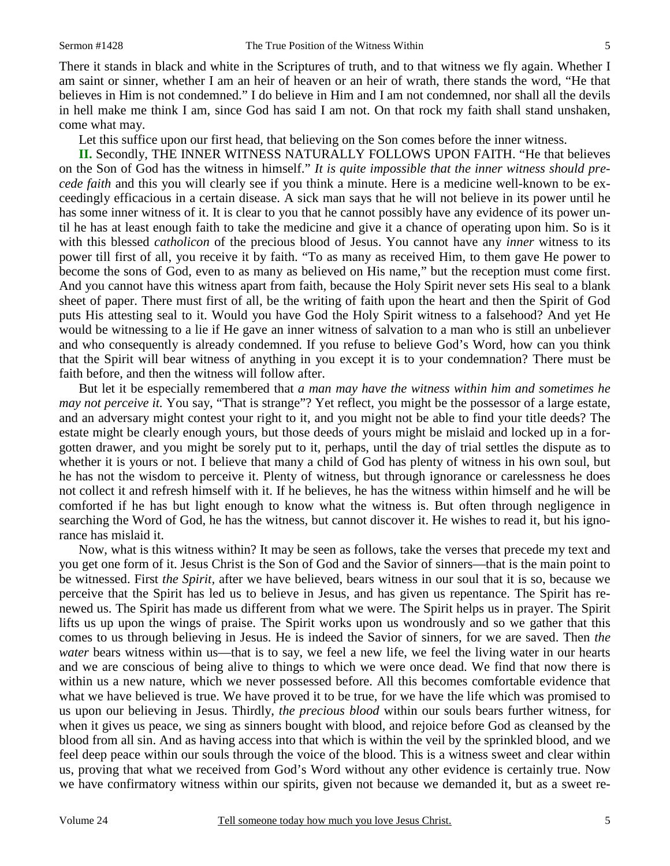There it stands in black and white in the Scriptures of truth, and to that witness we fly again. Whether I am saint or sinner, whether I am an heir of heaven or an heir of wrath, there stands the word, "He that believes in Him is not condemned." I do believe in Him and I am not condemned, nor shall all the devils in hell make me think I am, since God has said I am not. On that rock my faith shall stand unshaken, come what may.

Let this suffice upon our first head, that believing on the Son comes before the inner witness.

**II.** Secondly, THE INNER WITNESS NATURALLY FOLLOWS UPON FAITH. "He that believes on the Son of God has the witness in himself." *It is quite impossible that the inner witness should precede faith* and this you will clearly see if you think a minute. Here is a medicine well-known to be exceedingly efficacious in a certain disease. A sick man says that he will not believe in its power until he has some inner witness of it. It is clear to you that he cannot possibly have any evidence of its power until he has at least enough faith to take the medicine and give it a chance of operating upon him. So is it with this blessed *catholicon* of the precious blood of Jesus. You cannot have any *inner* witness to its power till first of all, you receive it by faith. "To as many as received Him, to them gave He power to become the sons of God, even to as many as believed on His name," but the reception must come first. And you cannot have this witness apart from faith, because the Holy Spirit never sets His seal to a blank sheet of paper. There must first of all, be the writing of faith upon the heart and then the Spirit of God puts His attesting seal to it. Would you have God the Holy Spirit witness to a falsehood? And yet He would be witnessing to a lie if He gave an inner witness of salvation to a man who is still an unbeliever and who consequently is already condemned. If you refuse to believe God's Word, how can you think that the Spirit will bear witness of anything in you except it is to your condemnation? There must be faith before, and then the witness will follow after.

But let it be especially remembered that *a man may have the witness within him and sometimes he may not perceive it.* You say, "That is strange"? Yet reflect, you might be the possessor of a large estate, and an adversary might contest your right to it, and you might not be able to find your title deeds? The estate might be clearly enough yours, but those deeds of yours might be mislaid and locked up in a forgotten drawer, and you might be sorely put to it, perhaps, until the day of trial settles the dispute as to whether it is yours or not. I believe that many a child of God has plenty of witness in his own soul, but he has not the wisdom to perceive it. Plenty of witness, but through ignorance or carelessness he does not collect it and refresh himself with it. If he believes, he has the witness within himself and he will be comforted if he has but light enough to know what the witness is. But often through negligence in searching the Word of God, he has the witness, but cannot discover it. He wishes to read it, but his ignorance has mislaid it.

Now, what is this witness within? It may be seen as follows, take the verses that precede my text and you get one form of it. Jesus Christ is the Son of God and the Savior of sinners—that is the main point to be witnessed. First *the Spirit,* after we have believed, bears witness in our soul that it is so, because we perceive that the Spirit has led us to believe in Jesus, and has given us repentance. The Spirit has renewed us. The Spirit has made us different from what we were. The Spirit helps us in prayer. The Spirit lifts us up upon the wings of praise. The Spirit works upon us wondrously and so we gather that this comes to us through believing in Jesus. He is indeed the Savior of sinners, for we are saved. Then *the water* bears witness within us—that is to say, we feel a new life, we feel the living water in our hearts and we are conscious of being alive to things to which we were once dead. We find that now there is within us a new nature, which we never possessed before. All this becomes comfortable evidence that what we have believed is true. We have proved it to be true, for we have the life which was promised to us upon our believing in Jesus. Thirdly, *the precious blood* within our souls bears further witness, for when it gives us peace, we sing as sinners bought with blood, and rejoice before God as cleansed by the blood from all sin. And as having access into that which is within the veil by the sprinkled blood, and we feel deep peace within our souls through the voice of the blood. This is a witness sweet and clear within us, proving that what we received from God's Word without any other evidence is certainly true. Now we have confirmatory witness within our spirits, given not because we demanded it, but as a sweet re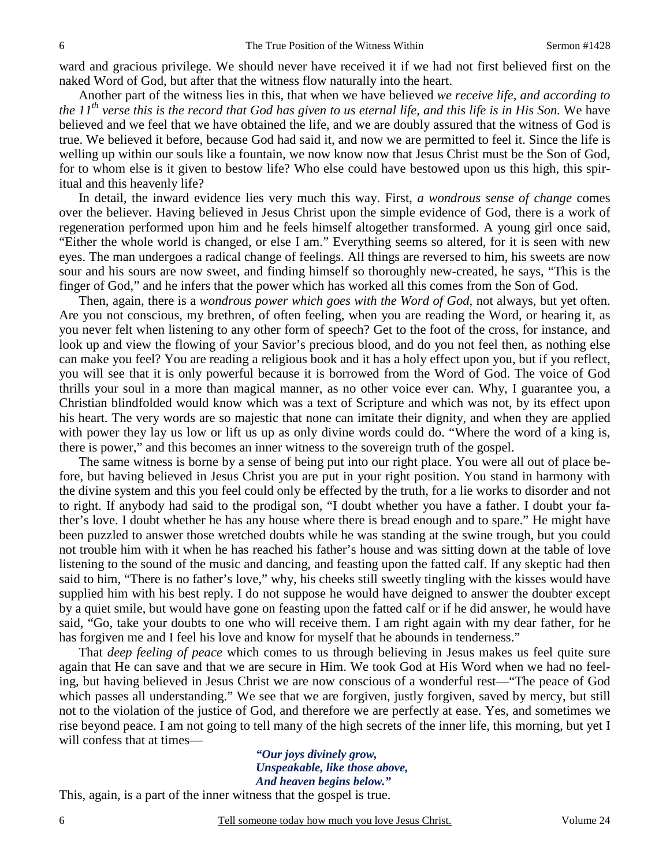ward and gracious privilege. We should never have received it if we had not first believed first on the naked Word of God, but after that the witness flow naturally into the heart.

Another part of the witness lies in this, that when we have believed *we receive life, and according to the 11th verse this is the record that God has given to us eternal life, and this life is in His Son.* We have believed and we feel that we have obtained the life, and we are doubly assured that the witness of God is true. We believed it before, because God had said it, and now we are permitted to feel it. Since the life is welling up within our souls like a fountain, we now know now that Jesus Christ must be the Son of God, for to whom else is it given to bestow life? Who else could have bestowed upon us this high, this spiritual and this heavenly life?

In detail, the inward evidence lies very much this way. First, *a wondrous sense of change* comes over the believer. Having believed in Jesus Christ upon the simple evidence of God, there is a work of regeneration performed upon him and he feels himself altogether transformed. A young girl once said, "Either the whole world is changed, or else I am." Everything seems so altered, for it is seen with new eyes. The man undergoes a radical change of feelings. All things are reversed to him, his sweets are now sour and his sours are now sweet, and finding himself so thoroughly new-created, he says, "This is the finger of God," and he infers that the power which has worked all this comes from the Son of God.

Then, again, there is a *wondrous power which goes with the Word of God,* not always, but yet often. Are you not conscious, my brethren, of often feeling, when you are reading the Word, or hearing it, as you never felt when listening to any other form of speech? Get to the foot of the cross, for instance, and look up and view the flowing of your Savior's precious blood, and do you not feel then, as nothing else can make you feel? You are reading a religious book and it has a holy effect upon you, but if you reflect, you will see that it is only powerful because it is borrowed from the Word of God. The voice of God thrills your soul in a more than magical manner, as no other voice ever can. Why, I guarantee you, a Christian blindfolded would know which was a text of Scripture and which was not, by its effect upon his heart. The very words are so majestic that none can imitate their dignity, and when they are applied with power they lay us low or lift us up as only divine words could do. "Where the word of a king is, there is power," and this becomes an inner witness to the sovereign truth of the gospel.

The same witness is borne by a sense of being put into our right place. You were all out of place before, but having believed in Jesus Christ you are put in your right position. You stand in harmony with the divine system and this you feel could only be effected by the truth, for a lie works to disorder and not to right. If anybody had said to the prodigal son, "I doubt whether you have a father. I doubt your father's love. I doubt whether he has any house where there is bread enough and to spare." He might have been puzzled to answer those wretched doubts while he was standing at the swine trough, but you could not trouble him with it when he has reached his father's house and was sitting down at the table of love listening to the sound of the music and dancing, and feasting upon the fatted calf. If any skeptic had then said to him, "There is no father's love," why, his cheeks still sweetly tingling with the kisses would have supplied him with his best reply. I do not suppose he would have deigned to answer the doubter except by a quiet smile, but would have gone on feasting upon the fatted calf or if he did answer, he would have said, "Go, take your doubts to one who will receive them. I am right again with my dear father, for he has forgiven me and I feel his love and know for myself that he abounds in tenderness."

That *deep feeling of peace* which comes to us through believing in Jesus makes us feel quite sure again that He can save and that we are secure in Him. We took God at His Word when we had no feeling, but having believed in Jesus Christ we are now conscious of a wonderful rest—"The peace of God which passes all understanding." We see that we are forgiven, justly forgiven, saved by mercy, but still not to the violation of the justice of God, and therefore we are perfectly at ease. Yes, and sometimes we rise beyond peace. I am not going to tell many of the high secrets of the inner life, this morning, but yet I will confess that at times—

> *"Our joys divinely grow, Unspeakable, like those above, And heaven begins below."*

This, again, is a part of the inner witness that the gospel is true.

Tell someone today how much you love Jesus Christ. Volume 24

6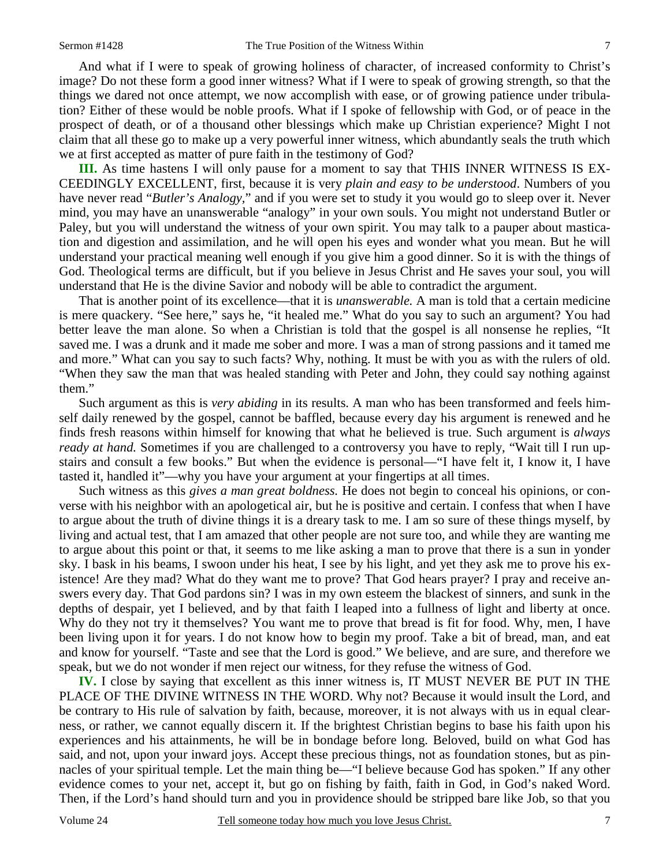And what if I were to speak of growing holiness of character, of increased conformity to Christ's image? Do not these form a good inner witness? What if I were to speak of growing strength, so that the things we dared not once attempt, we now accomplish with ease, or of growing patience under tribulation? Either of these would be noble proofs. What if I spoke of fellowship with God, or of peace in the prospect of death, or of a thousand other blessings which make up Christian experience? Might I not claim that all these go to make up a very powerful inner witness, which abundantly seals the truth which we at first accepted as matter of pure faith in the testimony of God?

**III.** As time hastens I will only pause for a moment to say that THIS INNER WITNESS IS EX-CEEDINGLY EXCELLENT, first, because it is very *plain and easy to be understood*. Numbers of you have never read "*Butler's Analogy,*" and if you were set to study it you would go to sleep over it. Never mind, you may have an unanswerable "analogy" in your own souls. You might not understand Butler or Paley, but you will understand the witness of your own spirit. You may talk to a pauper about mastication and digestion and assimilation, and he will open his eyes and wonder what you mean. But he will understand your practical meaning well enough if you give him a good dinner. So it is with the things of God. Theological terms are difficult, but if you believe in Jesus Christ and He saves your soul, you will understand that He is the divine Savior and nobody will be able to contradict the argument.

That is another point of its excellence—that it is *unanswerable.* A man is told that a certain medicine is mere quackery. "See here," says he, "it healed me." What do you say to such an argument? You had better leave the man alone. So when a Christian is told that the gospel is all nonsense he replies, "It saved me. I was a drunk and it made me sober and more. I was a man of strong passions and it tamed me and more." What can you say to such facts? Why, nothing. It must be with you as with the rulers of old. "When they saw the man that was healed standing with Peter and John, they could say nothing against them."

Such argument as this is *very abiding* in its results. A man who has been transformed and feels himself daily renewed by the gospel, cannot be baffled, because every day his argument is renewed and he finds fresh reasons within himself for knowing that what he believed is true. Such argument is *always ready at hand.* Sometimes if you are challenged to a controversy you have to reply, "Wait till I run upstairs and consult a few books." But when the evidence is personal—"I have felt it, I know it, I have tasted it, handled it"—why you have your argument at your fingertips at all times.

Such witness as this *gives a man great boldness.* He does not begin to conceal his opinions, or converse with his neighbor with an apologetical air, but he is positive and certain. I confess that when I have to argue about the truth of divine things it is a dreary task to me. I am so sure of these things myself, by living and actual test, that I am amazed that other people are not sure too, and while they are wanting me to argue about this point or that, it seems to me like asking a man to prove that there is a sun in yonder sky. I bask in his beams, I swoon under his heat, I see by his light, and yet they ask me to prove his existence! Are they mad? What do they want me to prove? That God hears prayer? I pray and receive answers every day. That God pardons sin? I was in my own esteem the blackest of sinners, and sunk in the depths of despair, yet I believed, and by that faith I leaped into a fullness of light and liberty at once. Why do they not try it themselves? You want me to prove that bread is fit for food. Why, men, I have been living upon it for years. I do not know how to begin my proof. Take a bit of bread, man, and eat and know for yourself. "Taste and see that the Lord is good." We believe, and are sure, and therefore we speak, but we do not wonder if men reject our witness, for they refuse the witness of God.

**IV.** I close by saying that excellent as this inner witness is, IT MUST NEVER BE PUT IN THE PLACE OF THE DIVINE WITNESS IN THE WORD. Why not? Because it would insult the Lord, and be contrary to His rule of salvation by faith, because, moreover, it is not always with us in equal clearness, or rather, we cannot equally discern it. If the brightest Christian begins to base his faith upon his experiences and his attainments, he will be in bondage before long. Beloved, build on what God has said, and not, upon your inward joys. Accept these precious things, not as foundation stones, but as pinnacles of your spiritual temple. Let the main thing be—"I believe because God has spoken." If any other evidence comes to your net, accept it, but go on fishing by faith, faith in God, in God's naked Word. Then, if the Lord's hand should turn and you in providence should be stripped bare like Job, so that you